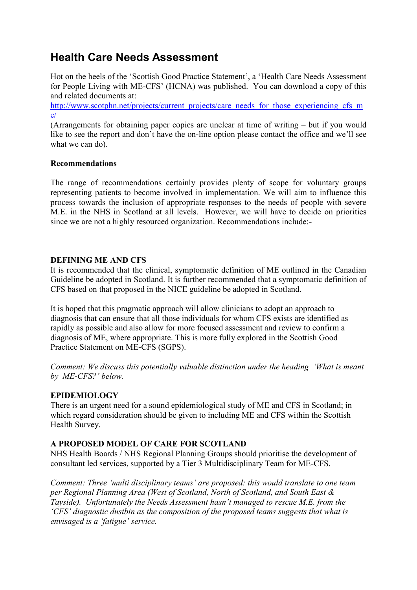# **Health Care Needs Assessment**

Hot on the heels of the 'Scottish Good Practice Statement', a 'Health Care Needs Assessment for People Living with ME-CFS' (HCNA) was published. You can download a copy of this and related documents at:

[http://www.scotphn.net/projects/current\\_projects/care\\_needs\\_for\\_those\\_experiencing\\_cfs\\_m](http://www.scotphn.net/projects/current_projects/care_needs_for_those_experiencing_cfs_me/) [e/](http://www.scotphn.net/projects/current_projects/care_needs_for_those_experiencing_cfs_me/)

(Arrangements for obtaining paper copies are unclear at time of writing – but if you would like to see the report and don't have the on-line option please contact the office and we'll see what we can do).

### **Recommendations**

The range of recommendations certainly provides plenty of scope for voluntary groups representing patients to become involved in implementation. We will aim to influence this process towards the inclusion of appropriate responses to the needs of people with severe M.E. in the NHS in Scotland at all levels. However, we will have to decide on priorities since we are not a highly resourced organization. Recommendations include:-

### **DEFINING ME AND CFS**

It is recommended that the clinical, symptomatic definition of ME outlined in the Canadian Guideline be adopted in Scotland. It is further recommended that a symptomatic definition of CFS based on that proposed in the NICE guideline be adopted in Scotland.

It is hoped that this pragmatic approach will allow clinicians to adopt an approach to diagnosis that can ensure that all those individuals for whom CFS exists are identified as rapidly as possible and also allow for more focused assessment and review to confirm a diagnosis of ME, where appropriate. This is more fully explored in the Scottish Good Practice Statement on ME-CFS (SGPS).

*Comment: We discuss this potentially valuable distinction under the heading 'What is meant by ME-CFS?' below.*

## **EPIDEMIOLOGY**

There is an urgent need for a sound epidemiological study of ME and CFS in Scotland; in which regard consideration should be given to including ME and CFS within the Scottish Health Survey.

## **A PROPOSED MODEL OF CARE FOR SCOTLAND**

NHS Health Boards / NHS Regional Planning Groups should prioritise the development of consultant led services, supported by a Tier 3 Multidisciplinary Team for ME-CFS.

*Comment: Three 'multi disciplinary teams' are proposed: this would translate to one team per Regional Planning Area (West of Scotland, North of Scotland, and South East & Tayside). Unfortunately the Needs Assessment hasn't managed to rescue M.E. from the 'CFS' diagnostic dustbin as the composition of the proposed teams suggests that what is envisaged is a 'fatigue' service.*